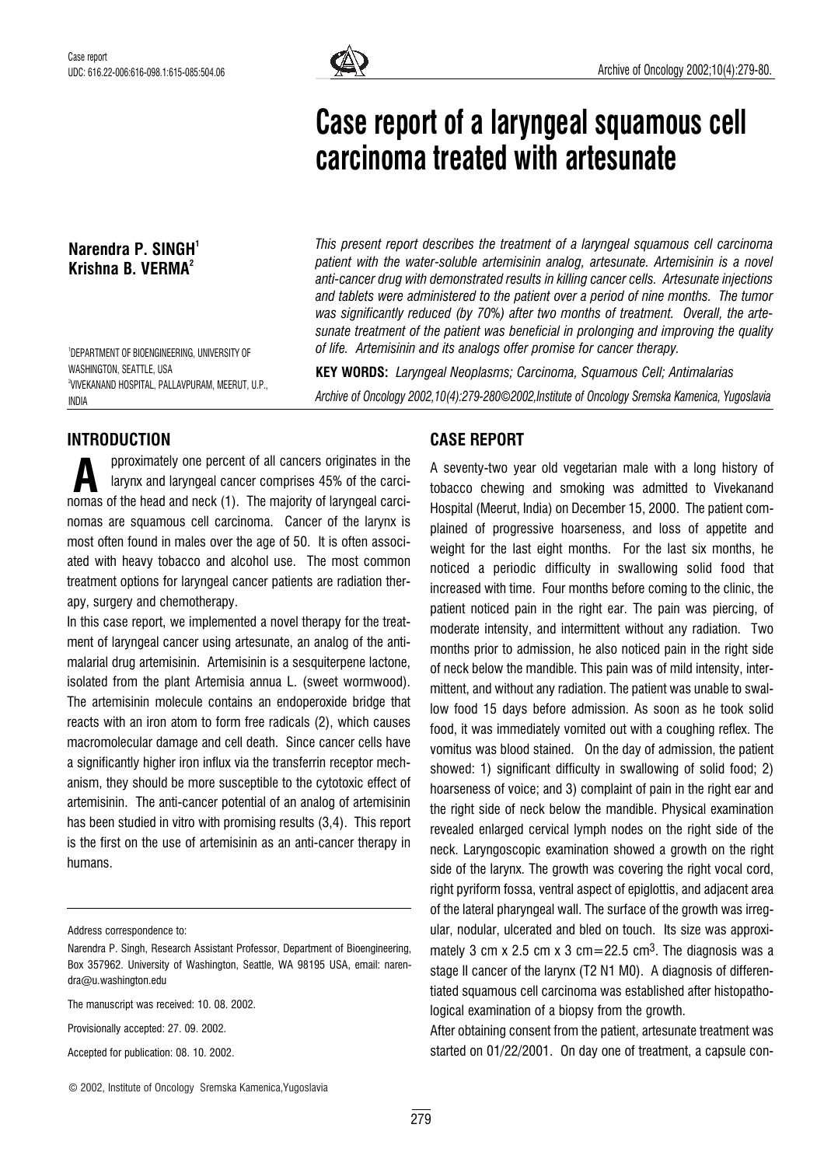

# Case report of a laryngeal squamous cell carcinoma treated with artesunate

Narendra P. SINGH<sup>1</sup> Krishna B. VERMA<sup>2</sup>

1 DEPARTMENT OF BIOENGINEERING, UNIVERSITY OF WASHINGTON, SEATTLE, USA 2 VIVEKANAND HOSPITAL, PALLAVPURAM, MEERUT, U.P., INDIA

This present report describes the treatment of a laryngeal squamous cell carcinoma patient with the water-soluble artemisinin analog, artesunate. Artemisinin is a novel anti-cancer drug with demonstrated results in killing cancer cells. Artesunate injections and tablets were administered to the patient over a period of nine months. The tumor was significantly reduced (by 70%) after two months of treatment. Overall, the artesunate treatment of the patient was beneficial in prolonging and improving the quality of life. Artemisinin and its analogs offer promise for cancer therapy.

KEY WORDS: Laryngeal Neoplasms; Carcinoma, Squamous Cell; Antimalarias Archive of Oncology 2002,10(4):279-280*©*2002,Institute of Oncology Sremska Kamenica, Yugoslavia

### INTRODUCTION

pproximately one percent of all cancers originates in the larynx and laryngeal cancer comprises 45% of the carcipproximately one percent of all cancers originates in the<br>larynx and laryngeal cancer comprises 45% of the carci-<br>nomas of the head and neck (1). The majority of laryngeal carcinomas are squamous cell carcinoma. Cancer of the larynx is most often found in males over the age of 50. It is often associated with heavy tobacco and alcohol use. The most common treatment options for laryngeal cancer patients are radiation therapy, surgery and chemotherapy.

In this case report, we implemented a novel therapy for the treatment of laryngeal cancer using artesunate, an analog of the antimalarial drug artemisinin. Artemisinin is a sesquiterpene lactone, isolated from the plant Artemisia annua L. (sweet wormwood). The artemisinin molecule contains an endoperoxide bridge that reacts with an iron atom to form free radicals (2), which causes macromolecular damage and cell death. Since cancer cells have a significantly higher iron influx via the transferrin receptor mechanism, they should be more susceptible to the cytotoxic effect of artemisinin. The anti-cancer potential of an analog of artemisinin has been studied in vitro with promising results (3,4). This report is the first on the use of artemisinin as an anti-cancer therapy in humans.

Address correspondence to:

Provisionally accepted: 27. 09. 2002.

Accepted for publication: 08. 10. 2002.

# CASE REPORT

A seventy-two year old vegetarian male with a long history of tobacco chewing and smoking was admitted to Vivekanand Hospital (Meerut, India) on December 15, 2000. The patient complained of progressive hoarseness, and loss of appetite and weight for the last eight months. For the last six months, he noticed a periodic difficulty in swallowing solid food that increased with time. Four months before coming to the clinic, the patient noticed pain in the right ear. The pain was piercing, of moderate intensity, and intermittent without any radiation. Two months prior to admission, he also noticed pain in the right side of neck below the mandible. This pain was of mild intensity, intermittent, and without any radiation. The patient was unable to swallow food 15 days before admission. As soon as he took solid food, it was immediately vomited out with a coughing reflex. The vomitus was blood stained. On the day of admission, the patient showed: 1) significant difficulty in swallowing of solid food; 2) hoarseness of voice; and 3) complaint of pain in the right ear and the right side of neck below the mandible. Physical examination revealed enlarged cervical lymph nodes on the right side of the neck. Laryngoscopic examination showed a growth on the right side of the larynx. The growth was covering the right vocal cord, right pyriform fossa, ventral aspect of epiglottis, and adjacent area of the lateral pharyngeal wall. The surface of the growth was irregular, nodular, ulcerated and bled on touch. Its size was approximately 3 cm x 2.5 cm x 3 cm=22.5 cm<sup>3</sup>. The diagnosis was a stage II cancer of the larynx (T2 N1 M0). A diagnosis of differentiated squamous cell carcinoma was established after histopathological examination of a biopsy from the growth.

After obtaining consent from the patient, artesunate treatment was started on 01/22/2001. On day one of treatment, a capsule con-

Narendra P. Singh, Research Assistant Professor, Department of Bioengineering, Box 357962. University of Washington, Seattle, WA 98195 USA, email: narendra@u.washington.edu

The manuscript was received: 10. 08. 2002.

<sup>©</sup> 2002, Institute of Oncology Sremska Kamenica,Yugoslavia